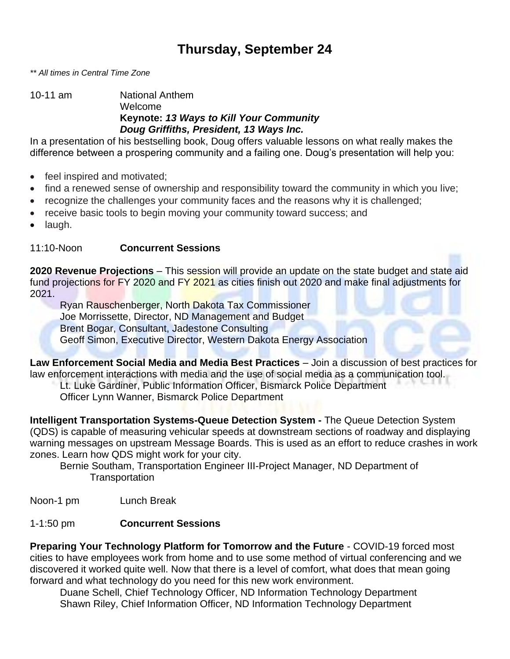# **Thursday, September 24**

*\*\* All times in Central Time Zone*

10-11 am National Anthem Welcome **Keynote:** *13 Ways to Kill Your Community Doug Griffiths, President, 13 Ways Inc.*

In a presentation of his bestselling book, Doug offers valuable lessons on what really makes the difference between a prospering community and a failing one. Doug's presentation will help you:

- feel inspired and motivated;
- find a renewed sense of ownership and responsibility toward the community in which you live;
- recognize the challenges your community faces and the reasons why it is challenged;
- receive basic tools to begin moving your community toward success; and
- laugh.

#### 11:10-Noon **Concurrent Sessions**

**2020 Revenue Projections** – This session will provide an update on the state budget and state aid fund projections for FY 2020 and FY 2021 as cities finish out 2020 and make final adjustments for 2021.

Ryan Rauschenberger, North Dakota Tax Commissioner Joe Morrissette, Director, ND Management and Budget Brent Bogar, Consultant, Jadestone Consulting Geoff Simon, Executive Director, Western Dakota Energy Association

**Law Enforcement Social Media and Media Best Practices** – Join a discussion of best practices for law enforcement interactions with media and the use of social media as a communication tool.

Lt. Luke Gardiner, Public Information Officer, Bismarck Police Department

Officer Lynn Wanner, Bismarck Police Department

**Intelligent Transportation Systems-Queue Detection System -** The Queue Detection System (QDS) is capable of measuring vehicular speeds at downstream sections of roadway and displaying warning messages on upstream Message Boards. This is used as an effort to reduce crashes in work zones. Learn how QDS might work for your city.

Bernie Southam, Transportation Engineer III-Project Manager, ND Department of **Transportation** 

Noon-1 pm Lunch Break

### 1-1:50 pm **Concurrent Sessions**

**Preparing Your Technology Platform for Tomorrow and the Future** - COVID-19 forced most cities to have employees work from home and to use some method of virtual conferencing and we discovered it worked quite well. Now that there is a level of comfort, what does that mean going forward and what technology do you need for this new work environment.

Duane Schell, Chief Technology Officer, ND Information Technology Department Shawn Riley, Chief Information Officer, ND Information Technology Department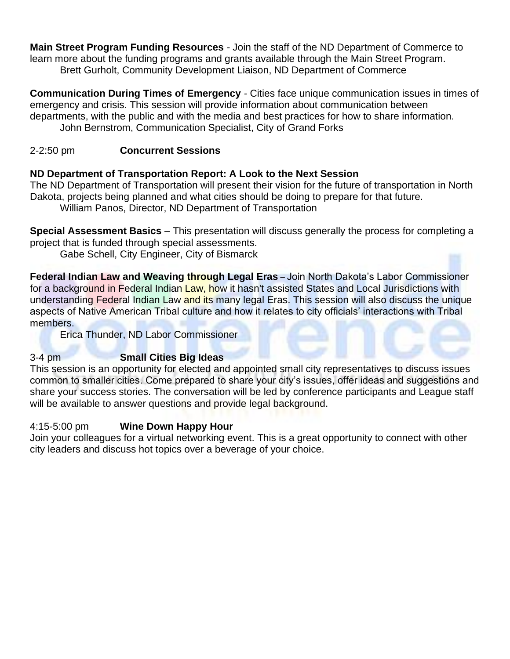**Main Street Program Funding Resources** *-* Join the staff of the ND Department of Commerce to learn more about the funding programs and grants available through the Main Street Program. Brett Gurholt, Community Development Liaison, ND Department of Commerce

**Communication During Times of Emergency** *-* Cities face unique communication issues in times of emergency and crisis. This session will provide information about communication between departments, with the public and with the media and best practices for how to share information. John Bernstrom, Communication Specialist, City of Grand Forks

## 2-2:50 pm **Concurrent Sessions**

## **ND Department of Transportation Report: A Look to the Next Session**

The ND Department of Transportation will present their vision for the future of transportation in North Dakota, projects being planned and what cities should be doing to prepare for that future.

William Panos, Director, ND Department of Transportation

**Special Assessment Basics** – This presentation will discuss generally the process for completing a project that is funded through special assessments.

Gabe Schell, City Engineer, City of Bismarck

**Federal Indian Law and Weaving through Legal Eras** – Join North Dakota's Labor Commissioner for a background in Federal Indian Law, how it hasn't assisted States and Local Jurisdictions with understanding Federal Indian Law and its many legal Eras. This session will also discuss the unique aspects of Native American Tribal culture and how it relates to city officials' interactions with Tribal members.

Erica Thunder, ND Labor Commissioner

## 3-4 pm **Small Cities Big Ideas**

This session is an opportunity for elected and appointed small city representatives to discuss issues common to smaller cities. Come prepared to share your city's issues, offer ideas and suggestions and share your success stories. The conversation will be led by conference participants and League staff will be available to answer questions and provide legal background.

### 4:15-5:00 pm **Wine Down Happy Hour**

Join your colleagues for a virtual networking event. This is a great opportunity to connect with other city leaders and discuss hot topics over a beverage of your choice.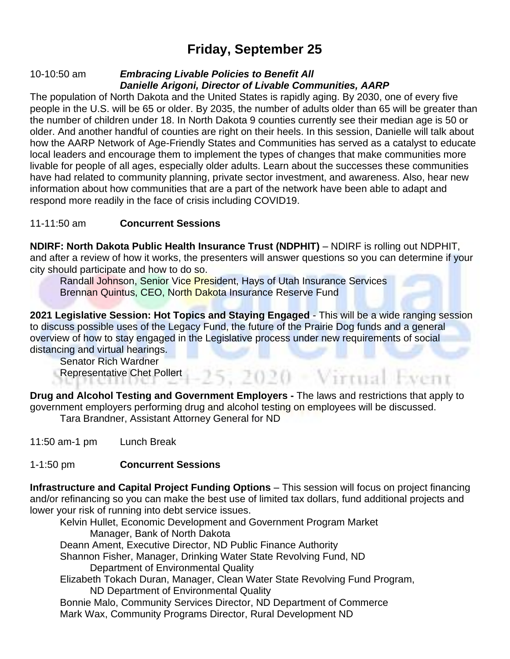# **Friday, September 25**

#### 10-10:50 am *Embracing Livable Policies to Benefit All Danielle Arigoni, Director of Livable Communities, AARP*

The population of North Dakota and the United States is rapidly aging. By 2030, one of every five people in the U.S. will be 65 or older. By 2035, the number of adults older than 65 will be greater than the number of children under 18. In North Dakota 9 counties currently see their median age is 50 or older. And another handful of counties are right on their heels. In this session, Danielle will talk about how the AARP Network of Age-Friendly States and Communities has served as a catalyst to educate local leaders and encourage them to implement the types of changes that make communities more livable for people of all ages, especially older adults. Learn about the successes these communities have had related to community planning, private sector investment, and awareness. Also, hear new information about how communities that are a part of the network have been able to adapt and respond more readily in the face of crisis including COVID19.

## 11-11:50 am **Concurrent Sessions**

**NDIRF: North Dakota Public Health Insurance Trust (NDPHIT)** – NDIRF is rolling out NDPHIT, and after a review of how it works, the presenters will answer questions so you can determine if your city should participate and how to do so.

Randall Johnson, Senior Vice President, Hays of Utah Insurance Services Brennan Quintus, CEO, North Dakota Insurance Reserve Fund

**2021 Legislative Session: Hot Topics and Staying Engaged** - This will be a wide ranging session to discuss possible uses of the Legacy Fund, the future of the Prairie Dog funds and a general overview of how to stay engaged in the Legislative process under new requirements of social distancing and virtual hearings.

 $-25, 2020$  - Virtual Event

Senator Rich Wardner Representative Chet Pollert

**Drug and Alcohol Testing and Government Employers -** The laws and restrictions that apply to government employers performing drug and alcohol testing on employees will be discussed.

Tara Brandner, Assistant Attorney General for ND

11:50 am-1 pm Lunch Break

### 1-1:50 pm **Concurrent Sessions**

**Infrastructure and Capital Project Funding Options** – This session will focus on project financing and/or refinancing so you can make the best use of limited tax dollars, fund additional projects and lower your risk of running into debt service issues.

Kelvin Hullet, Economic Development and Government Program Market Manager, Bank of North Dakota Deann Ament, Executive Director, ND Public Finance Authority Shannon Fisher, Manager, Drinking Water State Revolving Fund, ND Department of Environmental Quality Elizabeth Tokach Duran, Manager, Clean Water State Revolving Fund Program, ND Department of Environmental Quality Bonnie Malo, Community Services Director, ND Department of Commerce Mark Wax, Community Programs Director, Rural Development ND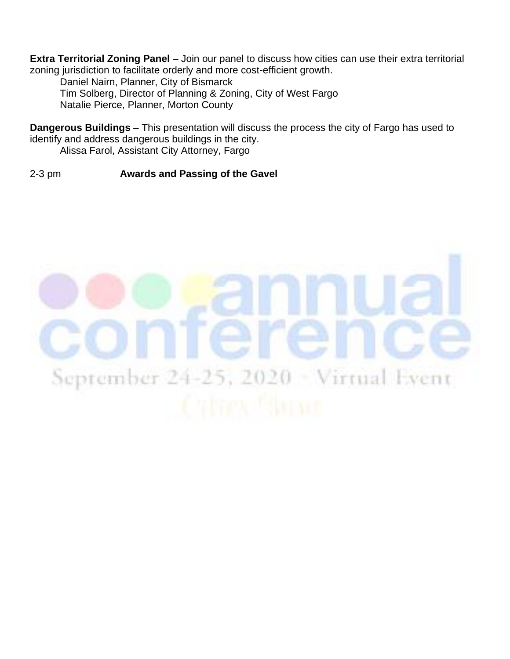**Extra Territorial Zoning Panel** – Join our panel to discuss how cities can use their extra territorial zoning jurisdiction to facilitate orderly and more cost-efficient growth.

Daniel Nairn, Planner, City of Bismarck Tim Solberg, Director of Planning & Zoning, City of West Fargo Natalie Pierce, Planner, Morton County

**Dangerous Buildings** – This presentation will discuss the process the city of Fargo has used to identify and address dangerous buildings in the city. Alissa Farol, Assistant City Attorney, Fargo

2-3 pm **Awards and Passing of the Gavel**